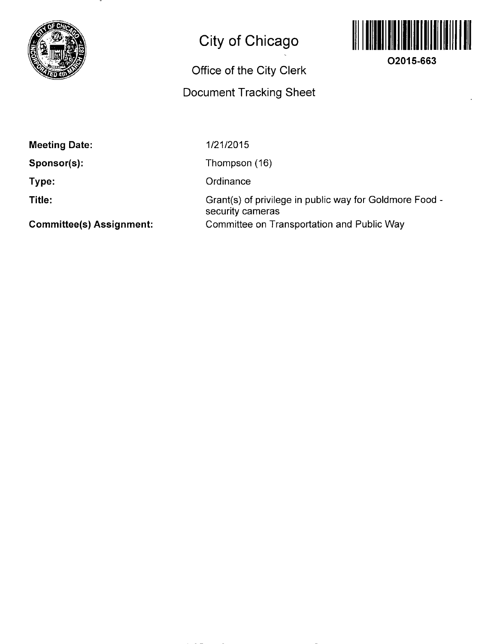

## **City of Chicago**

## **Office of the City Clerk**

## **Document Tracking Sheet**



**O2015-663** 

**Meeting Date:** 

**Sponsor(s):** 

**Type:** 

**Title:** 

1/21/2015

Thompson (16)

**Ordinance** 

Grant(s) of privilege in public way for Goldmore Food security cameras Committee on Transportation and Public Way

**Commlttee(s) Assignment:**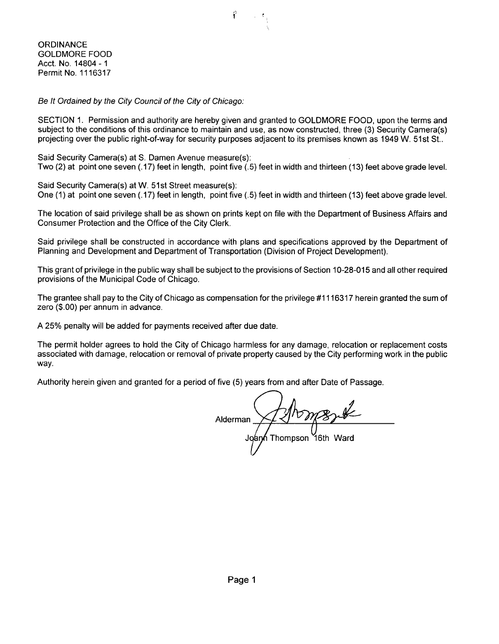**ORDINANCE** GOLDMORE FOOD Acct. No. 14804 -1 Permit No. 1116317

Be It Ordained by the City Council of the City of Chicago:

SECTION 1. Permission and authority are hereby given and granted to GOLDMORE FOOD, upon the terms and subject to the conditions of this ordinance to maintain and use, as now constructed, three (3) Security Camera(s) projecting over the public right-of-way for security purposes adjacent to its premises known as 1949 W. 51st St..

Said Security Camera(s) at S. Damen Avenue measure(s):<br>Two (2) at point one seven (.17) feet in length, point five (.5) feet in width and thirteen (13) feet above grade level. Two (2) at point one seven (.17) feet in length, point five (.5) feet in width and thirteen (13) feet above grade level.

Said Security Camera(s) at W. 51st Street measure(s): One (1) at point one seven (.17) feet in length, point five (.5) feet in width and thirteen (13) feet above grade level.

The location of said privilege shall be as shown on prints kept on file with the Department of Business Affairs and Consumer Protection and the Office of the City Clerk.

Said privilege shall be constructed in accordance with plans and specifications approved by the Department of Planning and Development and Department of Transportation (Division of Project Development).

This grant of privilege in the public way shall be subject to the provisions of Section 10-28-015 and all other required provisions of the Municipal Code of Chicago.

The grantee shall pay to the City of Chicago as compensation forthe privilege #1116317 herein granted the sum of zero (\$.00) per annum in advance.

A 25% penalty will be added for payments received after due date.

The permit holder agrees to hold the City of Chicago harmless for any damage, relocation or replacement costs associated with damage, relocation or removal of private property caused by the City performing work in the public way.

Authority herein given and granted for a period of five (5) years from and after Date of Passage.

Alderman Thompson "16th Ward